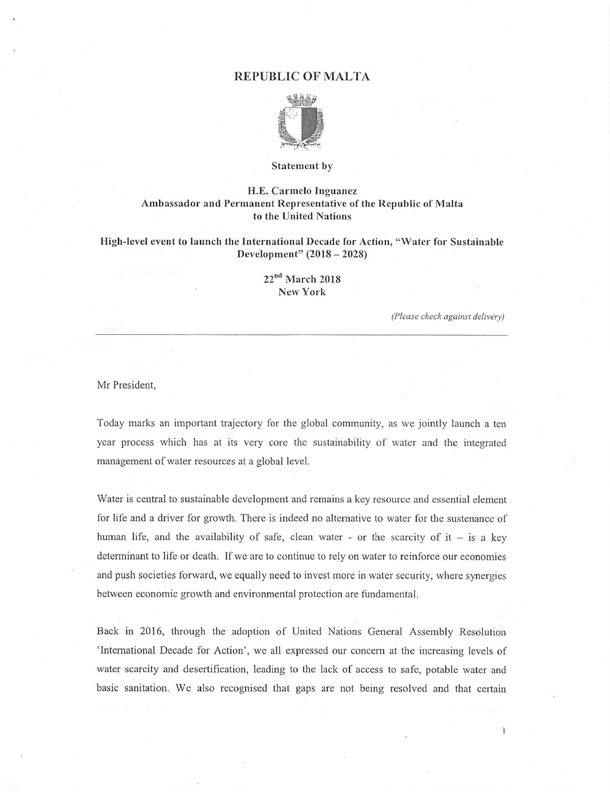## REPUBLIC OF MALTA



### Statement by

## H.E. Carmelo Inguanez Ambassador and Permanent Representative of the Republic of Malta to the United Nations

High-level event to launch the International Decade for Action, "Water for Sustainable Development" (2018 - 2028)

# 22<sup>nd</sup> March 2018 New York

(Please check against delivery)

 $\mathbf{1}$ 

## Mr President,

Today marks an important trajectory for the global community, as we jointly launch a ten year process which has at its very core the sustainability of water and the integrated management of water resources at a global level.

Water is central to sustainable development and remains a key resource and essential element for life and a driver for growth. There is indeed no altemative to water for the sustenance of human life, and the availability of safe, clean water - or the scarcity of  $it - is a key$ determinant to life or death. If we are to continue to rely on water to reinforce our economies and push societies forward, we equally need to invest more in water security, where synergies between economic growth and environmental protection are fundamental.

Back in 2016, through the adoption of United Nations General Assembly Resolution 'Intemational Decade for Action', we all expressed our concern at the increasing levels of water scarcity and desertification, leading to the lack of access to safe, potable water and basic sanitation. We also recognised that gaps are not being resolved and that certain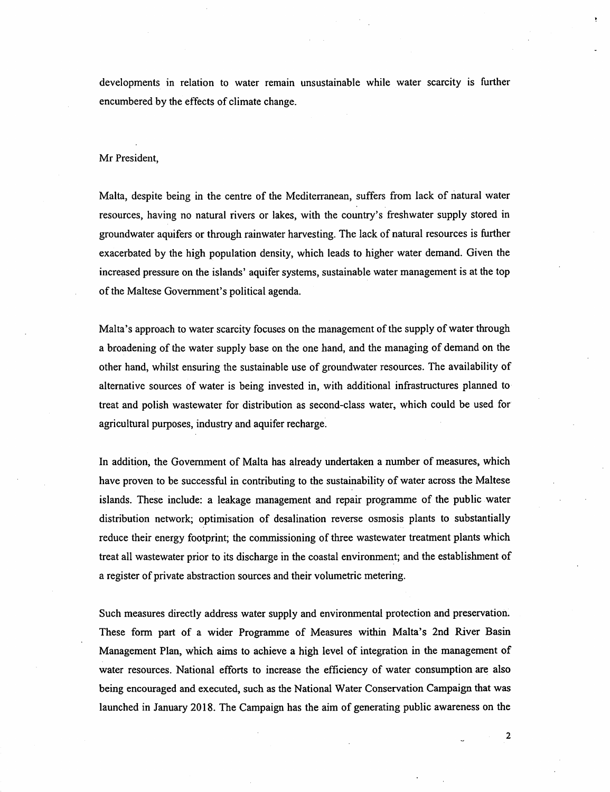developments in relation to water remain unsustainable while water scarcity is further encumbered by the effects of climate change.

### Mr President,

Malta, despite being in the centre of the Mediterranean, suffers from lack of natural water resources, having no natural rivers or lakes, with the country's freshwater supply stored in groundwater aquifers or through rainwater harvesting. The lack of natural resources is further exacerbated by the high population density, which leads to higher water demand. Given the increased pressure on the islands' aquifer systems, sustainable water management is at the top of the Maltese Government's political agenda.

Malta's approach to water scarcity focuses on the management of the supply of water through a broadening of the water supply base on the one hand, and the managing of demand on the other hand, whilst ensuring the sustainable use of groundwater resources. The availability of alternative sources of water is being invested in, with additional infrastructures planned to treat and polish wastewater for distribution as second-class water, which could be used for agricultural purposes, industry and aquifer recharge.

In addition, the Govemment of Malta has already undertaken a number of measures, which have proven to be successful in contributing to the sustainability of water across the Maltese islands. These include: a leakage management and repair progranune of the public water distribution network; optimisation of desalination reverse osmosis plants to substantially reduce their energy footprint; the commissioning of three wastewater treatment plants which treat all wastewater prior to its discharge in the coastal environment; and the establishmentof a register of private abstraction sources and their volumetric metering.

Such measures directly address water supply and environmental protection and preservation. These form part of a wider Programme of Measures within Malta's 2nd River Basin Management Plan, which aims to achieve a high level of integration in the management of water resources. National efforts to increase the efficiency of water consumption are also being encouraged and executed, such as the National Water Conservation Campaign that was launched in January 2018. The Campaign has the aim of generating public awareness on the

 $\overline{2}$